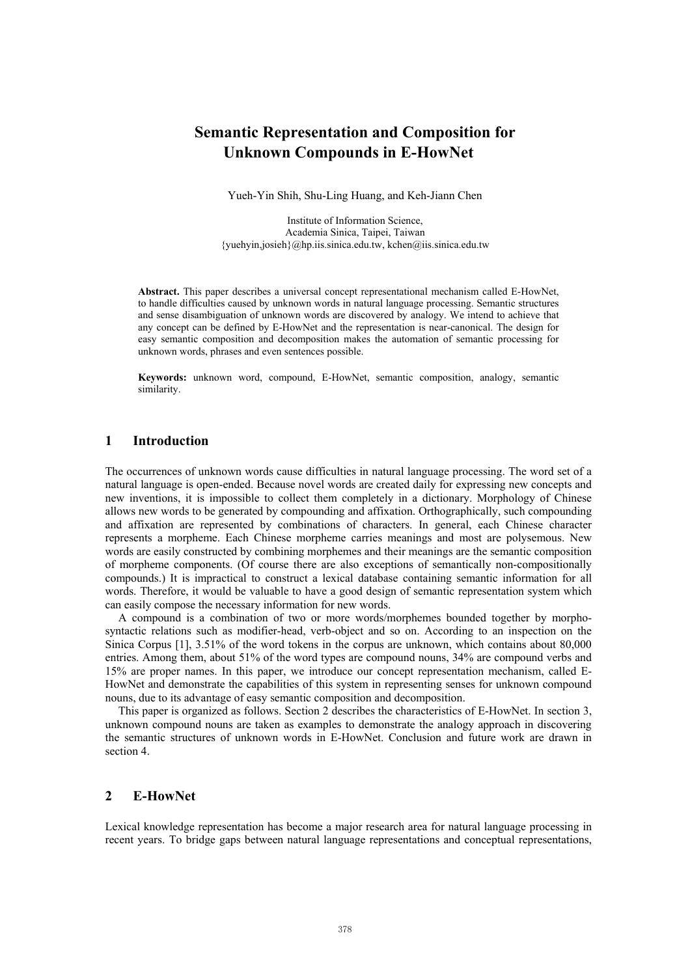# **Semantic Representation and Composition for Unknown Compounds in E-HowNet**

Yueh-Yin Shih, Shu-Ling Huang, and Keh-Jiann Chen

Institute of Information Science, Academia Sinica, Taipei, Taiwan {yuehyin,josieh}@hp.iis.sinica.edu.tw, kchen@iis.sinica.edu.tw

**Abstract.** This paper describes a universal concept representational mechanism called E-HowNet, to handle difficulties caused by unknown words in natural language processing. Semantic structures and sense disambiguation of unknown words are discovered by analogy. We intend to achieve that any concept can be defined by E-HowNet and the representation is near-canonical. The design for easy semantic composition and decomposition makes the automation of semantic processing for unknown words, phrases and even sentences possible.

**Keywords:** unknown word, compound, E-HowNet, semantic composition, analogy, semantic similarity.

### **1 Introduction**

The occurrences of unknown words cause difficulties in natural language processing. The word set of a natural language is open-ended. Because novel words are created daily for expressing new concepts and new inventions, it is impossible to collect them completely in a dictionary. Morphology of Chinese allows new words to be generated by compounding and affixation. Orthographically, such compounding and affixation are represented by combinations of characters. In general, each Chinese character represents a morpheme. Each Chinese morpheme carries meanings and most are polysemous. New words are easily constructed by combining morphemes and their meanings are the semantic composition of morpheme components. (Of course there are also exceptions of semantically non-compositionally compounds.) It is impractical to construct a lexical database containing semantic information for all words. Therefore, it would be valuable to have a good design of semantic representation system which can easily compose the necessary information for new words.

A compound is a combination of two or more words/morphemes bounded together by morphosyntactic relations such as modifier-head, verb-object and so on. According to an inspection on the Sinica Corpus [1], 3.51% of the word tokens in the corpus are unknown, which contains about 80,000 entries. Among them, about 51% of the word types are compound nouns, 34% are compound verbs and 15% are proper names. In this paper, we introduce our concept representation mechanism, called E-HowNet and demonstrate the capabilities of this system in representing senses for unknown compound nouns, due to its advantage of easy semantic composition and decomposition.

This paper is organized as follows. Section 2 describes the characteristics of E-HowNet. In section 3, unknown compound nouns are taken as examples to demonstrate the analogy approach in discovering the semantic structures of unknown words in E-HowNet. Conclusion and future work are drawn in section 4.

## **2 E-HowNet**

Lexical knowledge representation has become a major research area for natural language processing in recent years. To bridge gaps between natural language representations and conceptual representations,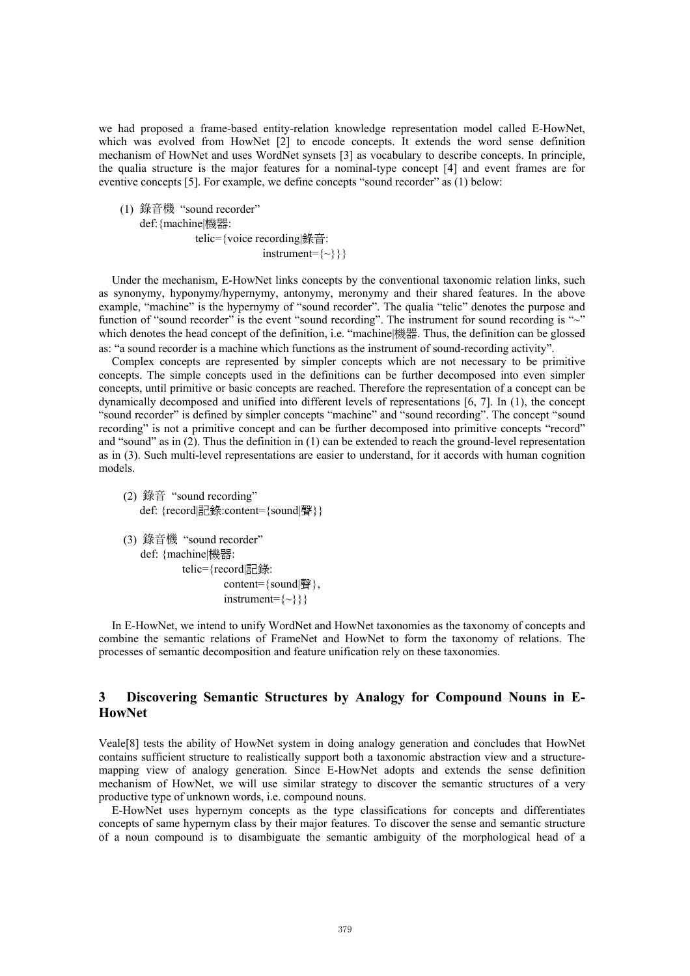we had proposed a frame-based entity-relation knowledge representation model called E-HowNet, which was evolved from HowNet [2] to encode concepts. It extends the word sense definition mechanism of HowNet and uses WordNet synsets [3] as vocabulary to describe concepts. In principle, the qualia structure is the major features for a nominal-type concept [4] and event frames are for eventive concepts [5]. For example, we define concepts "sound recorder" as (1) below:

(1) 錄音機 "sound recorder" def:{machine|機器: telic={voice recording|錄音:  $instrument=\{\sim\}\}$ 

Under the mechanism, E-HowNet links concepts by the conventional taxonomic relation links, such as synonymy, hyponymy/hypernymy, antonymy, meronymy and their shared features. In the above example, "machine" is the hypernymy of "sound recorder". The qualia "telic" denotes the purpose and function of "sound recorder" is the event "sound recording". The instrument for sound recording is "~" which denotes the head concept of the definition, i.e. "machine|機器. Thus, the definition can be glossed as: "a sound recorder is a machine which functions as the instrument of sound-recording activity".

Complex concepts are represented by simpler concepts which are not necessary to be primitive concepts. The simple concepts used in the definitions can be further decomposed into even simpler concepts, until primitive or basic concepts are reached. Therefore the representation of a concept can be dynamically decomposed and unified into different levels of representations [6, 7]. In (1), the concept "sound recorder" is defined by simpler concepts "machine" and "sound recording". The concept "sound recording" is not a primitive concept and can be further decomposed into primitive concepts "record" and "sound" as in (2). Thus the definition in (1) can be extended to reach the ground-level representation as in (3). Such multi-level representations are easier to understand, for it accords with human cognition models.

- (2) 錄音 "sound recording" def: {record記錄:content={sound|聲}}
- (3) 錄音機 "sound recorder" def: {machine|機器: telic={record|記錄: content={sound|聲},  $instrument=\{\sim\}\}$

In E-HowNet, we intend to unify WordNet and HowNet taxonomies as the taxonomy of concepts and combine the semantic relations of FrameNet and HowNet to form the taxonomy of relations. The processes of semantic decomposition and feature unification rely on these taxonomies.

# **3 Discovering Semantic Structures by Analogy for Compound Nouns in E-HowNet**

Veale[8] tests the ability of HowNet system in doing analogy generation and concludes that HowNet contains sufficient structure to realistically support both a taxonomic abstraction view and a structuremapping view of analogy generation. Since E-HowNet adopts and extends the sense definition mechanism of HowNet, we will use similar strategy to discover the semantic structures of a very productive type of unknown words, i.e. compound nouns.

E-HowNet uses hypernym concepts as the type classifications for concepts and differentiates concepts of same hypernym class by their major features. To discover the sense and semantic structure of a noun compound is to disambiguate the semantic ambiguity of the morphological head of a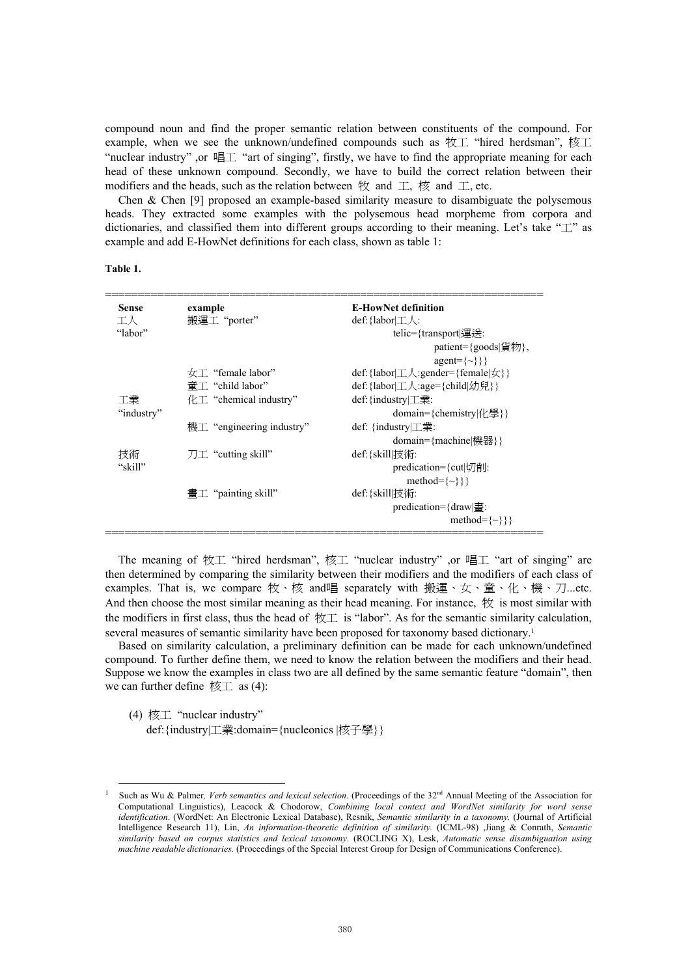compound noun and find the proper semantic relation between constituents of the compound. For example, when we see the unknown/undefined compounds such as 牧工 "hired herdsman", 核工 "nuclear industry" ,or 唱工 "art of singing", firstly, we have to find the appropriate meaning for each head of these unknown compound. Secondly, we have to build the correct relation between their modifiers and the heads, such as the relation between 牧 and 工, 核 and 工, etc.

Chen & Chen [9] proposed an example-based similarity measure to disambiguate the polysemous heads. They extracted some examples with the polysemous head morpheme from corpora and dictionaries, and classified them into different groups according to their meaning. Let's take "工" as example and add E-HowNet definitions for each class, shown as table 1:

#### **Table 1.**

| <b>Sense</b> | example                                         | <b>E-HowNet definition</b>                                                             |
|--------------|-------------------------------------------------|----------------------------------------------------------------------------------------|
| 工人           | 搬運工 "porter"                                    | def: { $labor \perp \perp \perp$ :                                                     |
| "labor"      |                                                 | telic={transport{運送:                                                                   |
|              |                                                 | patient= $\{goods   \notin \mathcal{W}\}\,$ ,                                          |
|              |                                                 | $agent={\sim}$ }}                                                                      |
|              |                                                 | def: {labor  $\perp \wedge$ : gender= {female  $\angle$ }}                             |
|              | $\hat{\mathbb{F}}$ T "child labor"              | $def: \{ labor   \underline{\top} \wedge : age = \{ child   \underline{\forall} \} \}$ |
| 工業           | $\#T$ "chemical industry"                       | $def:$ {industry $\mathcal{I}$ $\ddagger$ $\ddagger$ :                                 |
| "industry"   |                                                 | $domain={\text{chemistry}} {\forall \Xi\}$                                             |
|              | 機工 "engineering industry"                       | def: {industry $ \pm \ddot{\tilde{\pi}}$ :                                             |
|              |                                                 | $domain=\{machine _{\mathcal{H}}\}$                                                    |
| 技術           | $\mathcal{T} \perp \mathcal{T}$ "cutting skill" | def:{skill 技術:                                                                         |
| "skill"      |                                                 | predication= $\{\text{cut}[\uparrow]\}\$                                               |
|              |                                                 | method= $\{\sim\}\}$                                                                   |
|              | 畫工 "painting skill"                             | def:{skill 技術:                                                                         |
|              |                                                 | predication= $\frac{1}{3}$ draw $\equiv$                                               |
|              |                                                 | method= $\{\sim\}\}$                                                                   |
|              |                                                 |                                                                                        |

The meaning of 牧工 "hired herdsman", 核工 "nuclear industry" ,or 唱工 "art of singing" are then determined by comparing the similarity between their modifiers and the modifiers of each class of examples. That is, we compare 牧、核 and唱 separately with 搬運、女、童、化、機、刀...etc. And then choose the most similar meaning as their head meaning. For instance,  $\mathcal{H}$  is most similar with the modifiers in first class, thus the head of 牧工 is "labor". As for the semantic similarity calculation, several measures of semantic similarity have been proposed for taxonomy based dictionary.[1](#page-2-0)

Based on similarity calculation, a preliminary definition can be made for each unknown/undefined compound. To further define them, we need to know the relation between the modifiers and their head. Suppose we know the examples in class two are all defined by the same semantic feature "domain", then we can further define 核工 as  $(4)$ :

(4) 核工 "nuclear industry"

def:{industry|工業:domain={nucleonics |核子學}}

<span id="page-2-0"></span>Such as Wu & Palmer, Verb semantics and lexical selection. (Proceedings of the 32<sup>nd</sup> Annual Meeting of the Association for Computational Linguistics), Leacock & Chodorow, *Combining local context and WordNet similarity for word sense identification*. (WordNet: An Electronic Lexical Database), Resnik, *Semantic similarity in a taxonomy.* (Journal of Artificial Intelligence Research 11), Lin, *An information-theoretic definition of similarity.* (ICML-98) ,Jiang & Conrath, *Semantic similarity based on corpus statistics and lexical taxonomy.* (ROCLING X), Lesk, *Automatic sense disambiguation using machine readable dictionaries.* (Proceedings of the Special Interest Group for Design of Communications Conference).